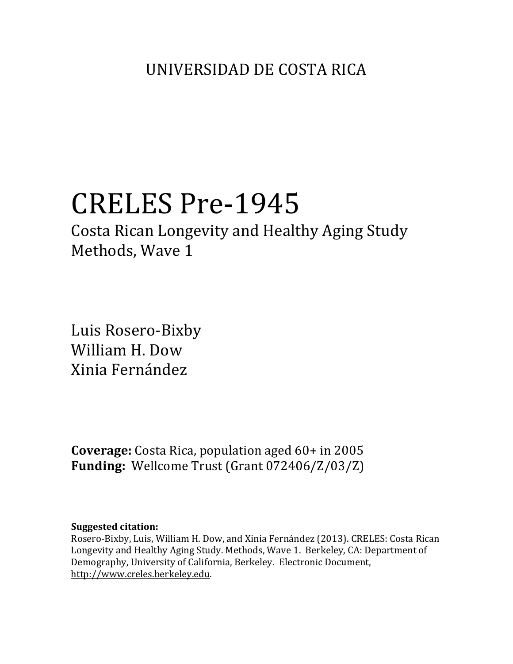# CRELES Pre-1945

Costa Rican Longevity and Healthy Aging Study Methods, Wave 1

Luis Rosero-Bixby William H. Dow Xinia Fernández

**Coverage:** Costa Rica, population aged 60+ in 2005 **Funding:** Wellcome Trust (Grant 072406/Z/03/Z)

## **Suggested citation:**

Rosero-Bixby, Luis, William H. Dow, and Xinia Fernández (2013). CRELES: Costa Rican Longevity and Healthy Aging Study. Methods, Wave 1. Berkeley, CA: Department of Demography, University of California, Berkeley. Electronic Document, http://www.creles.berkeley.edu.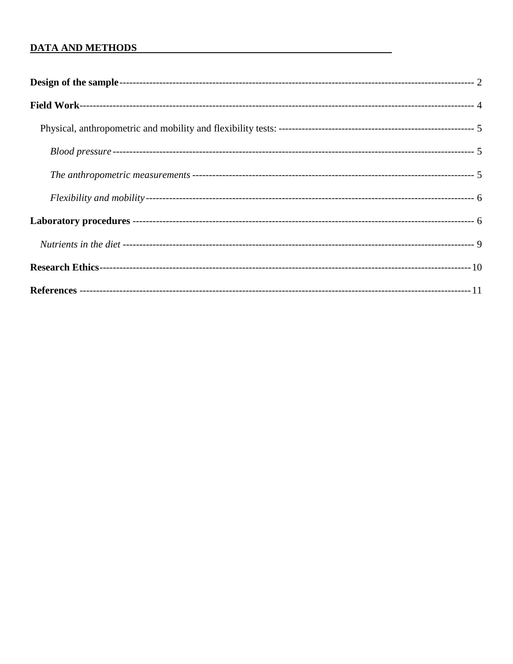## **DATA AND METHODS**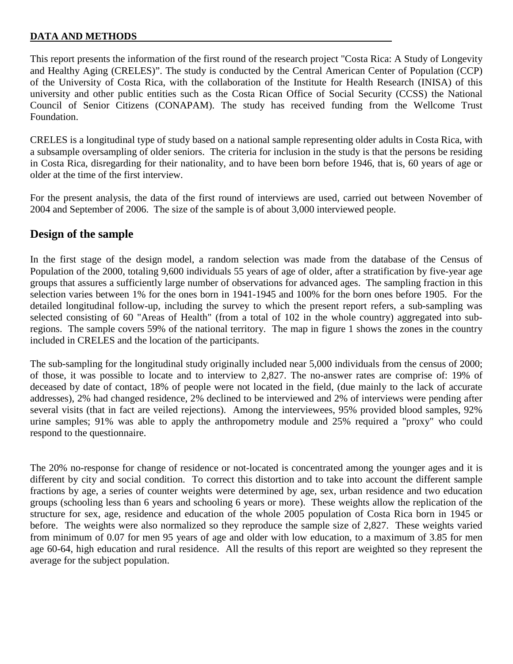#### **DATA AND METHODS**

This report presents the information of the first round of the research project "Costa Rica: A Study of Longevity and Healthy Aging (CRELES)". The study is conducted by the Central American Center of Population (CCP) of the University of Costa Rica, with the collaboration of the Institute for Health Research (INISA) of this university and other public entities such as the Costa Rican Office of Social Security (CCSS) the National Council of Senior Citizens (CONAPAM). The study has received funding from the Wellcome Trust Foundation.

CRELES is a longitudinal type of study based on a national sample representing older adults in Costa Rica, with a subsample oversampling of older seniors. The criteria for inclusion in the study is that the persons be residing in Costa Rica, disregarding for their nationality, and to have been born before 1946, that is, 60 years of age or older at the time of the first interview.

For the present analysis, the data of the first round of interviews are used, carried out between November of 2004 and September of 2006. The size of the sample is of about 3,000 interviewed people.

# <span id="page-2-0"></span>**Design of the sample**

In the first stage of the design model, a random selection was made from the database of the Census of Population of the 2000, totaling 9,600 individuals 55 years of age of older, after a stratification by five-year age groups that assures a sufficiently large number of observations for advanced ages. The sampling fraction in this selection varies between 1% for the ones born in 1941-1945 and 100% for the born ones before 1905. For the detailed longitudinal follow-up, including the survey to which the present report refers, a sub-sampling was selected consisting of 60 "Areas of Health" (from a total of 102 in the whole country) aggregated into subregions. The sample covers 59% of the national territory. The map in figure 1 shows the zones in the country included in CRELES and the location of the participants.

The sub-sampling for the longitudinal study originally included near 5,000 individuals from the census of 2000; of those, it was possible to locate and to interview to 2,827. The no-answer rates are comprise of: 19% of deceased by date of contact, 18% of people were not located in the field, (due mainly to the lack of accurate addresses), 2% had changed residence, 2% declined to be interviewed and 2% of interviews were pending after several visits (that in fact are veiled rejections). Among the interviewees, 95% provided blood samples, 92% urine samples; 91% was able to apply the anthropometry module and 25% required a "proxy" who could respond to the questionnaire.

The 20% no-response for change of residence or not-located is concentrated among the younger ages and it is different by city and social condition. To correct this distortion and to take into account the different sample fractions by age, a series of counter weights were determined by age, sex, urban residence and two education groups (schooling less than 6 years and schooling 6 years or more). These weights allow the replication of the structure for sex, age, residence and education of the whole 2005 population of Costa Rica born in 1945 or before. The weights were also normalized so they reproduce the sample size of 2,827. These weights varied from minimum of 0.07 for men 95 years of age and older with low education, to a maximum of 3.85 for men age 60-64, high education and rural residence. All the results of this report are weighted so they represent the average for the subject population.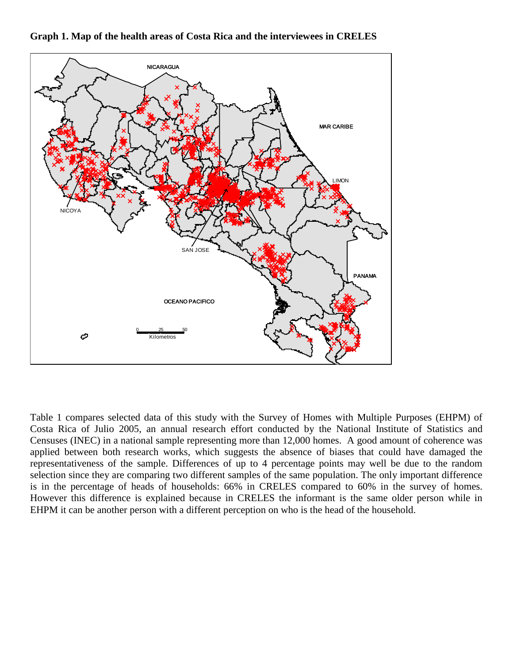

**Graph 1. Map of the health areas of Costa Rica and the interviewees in CRELES**

Table 1 compares selected data of this study with the Survey of Homes with Multiple Purposes (EHPM) of Costa Rica of Julio 2005, an annual research effort conducted by the National Institute of Statistics and Censuses (INEC) in a national sample representing more than 12,000 homes. A good amount of coherence was applied between both research works, which suggests the absence of biases that could have damaged the representativeness of the sample. Differences of up to 4 percentage points may well be due to the random selection since they are comparing two different samples of the same population. The only important difference is in the percentage of heads of households: 66% in CRELES compared to 60% in the survey of homes. However this difference is explained because in CRELES the informant is the same older person while in EHPM it can be another person with a different perception on who is the head of the household.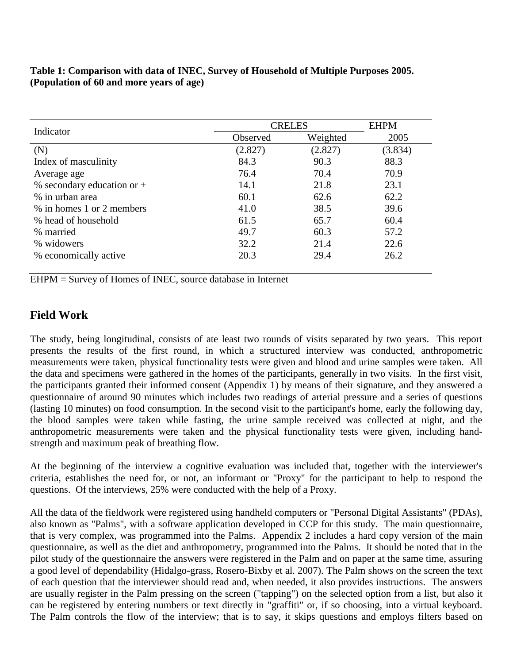**Table 1: Comparison with data of INEC, Survey of Household of Multiple Purposes 2005. (Population of 60 and more years of age)**

| Indicator                    | <b>CRELES</b> |          | <b>EHPM</b> |
|------------------------------|---------------|----------|-------------|
|                              | Observed      | Weighted | 2005        |
| (N)                          | (2.827)       | (2.827)  | (3.834)     |
| Index of masculinity         | 84.3          | 90.3     | 88.3        |
| Average age                  | 76.4          | 70.4     | 70.9        |
| % secondary education or $+$ | 14.1          | 21.8     | 23.1        |
| % in urban area              | 60.1          | 62.6     | 62.2        |
| % in homes 1 or 2 members    | 41.0          | 38.5     | 39.6        |
| % head of household          | 61.5          | 65.7     | 60.4        |
| % married                    | 49.7          | 60.3     | 57.2        |
| % widowers                   | 32.2          | 21.4     | 22.6        |
| % economically active        | 20.3          | 29.4     | 26.2        |

EHPM = Survey of Homes of INEC, source database in Internet

# <span id="page-4-0"></span>**Field Work**

The study, being longitudinal, consists of ate least two rounds of visits separated by two years. This report presents the results of the first round, in which a structured interview was conducted, anthropometric measurements were taken, physical functionality tests were given and blood and urine samples were taken. All the data and specimens were gathered in the homes of the participants, generally in two visits. In the first visit, the participants granted their informed consent (Appendix 1) by means of their signature, and they answered a questionnaire of around 90 minutes which includes two readings of arterial pressure and a series of questions (lasting 10 minutes) on food consumption. In the second visit to the participant's home, early the following day, the blood samples were taken while fasting, the urine sample received was collected at night, and the anthropometric measurements were taken and the physical functionality tests were given, including handstrength and maximum peak of breathing flow.

At the beginning of the interview a cognitive evaluation was included that, together with the interviewer's criteria, establishes the need for, or not, an informant or "Proxy" for the participant to help to respond the questions. Of the interviews, 25% were conducted with the help of a Proxy.

All the data of the fieldwork were registered using handheld computers or "Personal Digital Assistants" (PDAs), also known as "Palms", with a software application developed in CCP for this study. The main questionnaire, that is very complex, was programmed into the Palms. Appendix 2 includes a hard copy version of the main questionnaire, as well as the diet and anthropometry, programmed into the Palms. It should be noted that in the pilot study of the questionnaire the answers were registered in the Palm and on paper at the same time, assuring a good level of dependability (Hidalgo-grass, Rosero-Bixby et al. 2007). The Palm shows on the screen the text of each question that the interviewer should read and, when needed, it also provides instructions. The answers are usually register in the Palm pressing on the screen ("tapping") on the selected option from a list, but also it can be registered by entering numbers or text directly in "graffiti" or, if so choosing, into a virtual keyboard. The Palm controls the flow of the interview; that is to say, it skips questions and employs filters based on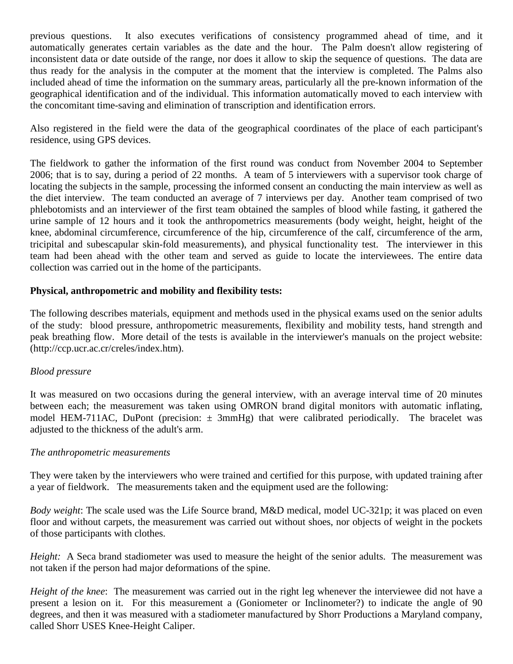previous questions. It also executes verifications of consistency programmed ahead of time, and it automatically generates certain variables as the date and the hour. The Palm doesn't allow registering of inconsistent data or date outside of the range, nor does it allow to skip the sequence of questions. The data are thus ready for the analysis in the computer at the moment that the interview is completed. The Palms also included ahead of time the information on the summary areas, particularly all the pre-known information of the geographical identification and of the individual. This information automatically moved to each interview with the concomitant time-saving and elimination of transcription and identification errors.

Also registered in the field were the data of the geographical coordinates of the place of each participant's residence, using GPS devices.

The fieldwork to gather the information of the first round was conduct from November 2004 to September 2006; that is to say, during a period of 22 months. A team of 5 interviewers with a supervisor took charge of locating the subjects in the sample, processing the informed consent an conducting the main interview as well as the diet interview. The team conducted an average of 7 interviews per day. Another team comprised of two phlebotomists and an interviewer of the first team obtained the samples of blood while fasting, it gathered the urine sample of 12 hours and it took the anthropometrics measurements (body weight, height, height of the knee, abdominal circumference, circumference of the hip, circumference of the calf, circumference of the arm, tricipital and subescapular skin-fold measurements), and physical functionality test. The interviewer in this team had been ahead with the other team and served as guide to locate the interviewees. The entire data collection was carried out in the home of the participants.

#### <span id="page-5-0"></span>**Physical, anthropometric and mobility and flexibility tests:**

The following describes materials, equipment and methods used in the physical exams used on the senior adults of the study: blood pressure, anthropometric measurements, flexibility and mobility tests, hand strength and peak breathing flow. More detail of the tests is available in the interviewer's manuals on the project website: (http://ccp.ucr.ac.cr/creles/index.htm).

#### <span id="page-5-1"></span>*Blood pressure*

It was measured on two occasions during the general interview, with an average interval time of 20 minutes between each; the measurement was taken using OMRON brand digital monitors with automatic inflating, model HEM-711AC, DuPont (precision:  $\pm$  3mmHg) that were calibrated periodically. The bracelet was adjusted to the thickness of the adult's arm.

#### <span id="page-5-2"></span>*The anthropometric measurements*

They were taken by the interviewers who were trained and certified for this purpose, with updated training after a year of fieldwork. The measurements taken and the equipment used are the following:

*Body weight*: The scale used was the Life Source brand, M&D medical, model UC-321p; it was placed on even floor and without carpets, the measurement was carried out without shoes, nor objects of weight in the pockets of those participants with clothes.

*Height:* A Seca brand stadiometer was used to measure the height of the senior adults. The measurement was not taken if the person had major deformations of the spine.

*Height of the knee*: The measurement was carried out in the right leg whenever the interviewee did not have a present a lesion on it. For this measurement a (Goniometer or Inclinometer?) to indicate the angle of 90 degrees, and then it was measured with a stadiometer manufactured by Shorr Productions a Maryland company, called Shorr USES Knee-Height Caliper.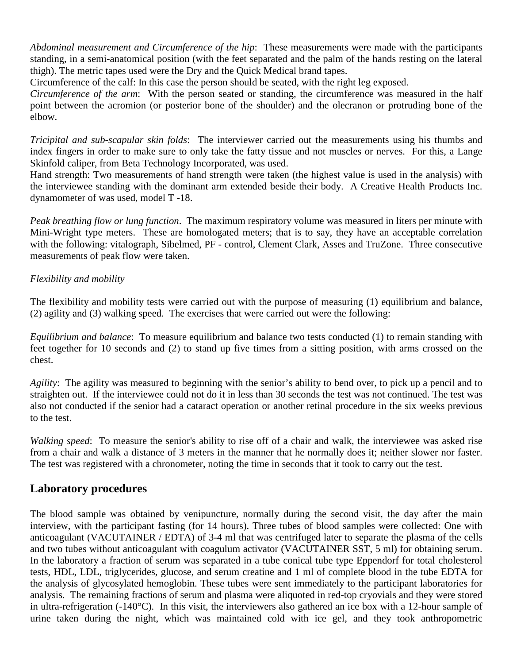*Abdominal measurement and Circumference of the hip*: These measurements were made with the participants standing, in a semi-anatomical position (with the feet separated and the palm of the hands resting on the lateral thigh). The metric tapes used were the Dry and the Quick Medical brand tapes.

Circumference of the calf: In this case the person should be seated, with the right leg exposed.

*Circumference of the arm*: With the person seated or standing, the circumference was measured in the half point between the acromion (or posterior bone of the shoulder) and the olecranon or protruding bone of the elbow.

*Tricipital and sub-scapular skin folds*: The interviewer carried out the measurements using his thumbs and index fingers in order to make sure to only take the fatty tissue and not muscles or nerves. For this, a Lange Skinfold caliper, from Beta Technology Incorporated, was used.

Hand strength: Two measurements of hand strength were taken (the highest value is used in the analysis) with the interviewee standing with the dominant arm extended beside their body. A Creative Health Products Inc. dynamometer of was used, model T -18.

*Peak breathing flow or lung function*. The maximum respiratory volume was measured in liters per minute with Mini-Wright type meters. These are homologated meters; that is to say, they have an acceptable correlation with the following: vitalograph, Sibelmed, PF - control, Clement Clark, Asses and TruZone. Three consecutive measurements of peak flow were taken.

### <span id="page-6-0"></span>*Flexibility and mobility*

The flexibility and mobility tests were carried out with the purpose of measuring (1) equilibrium and balance, (2) agility and (3) walking speed. The exercises that were carried out were the following:

*Equilibrium and balance*: To measure equilibrium and balance two tests conducted (1) to remain standing with feet together for 10 seconds and (2) to stand up five times from a sitting position, with arms crossed on the chest.

*Agility*: The agility was measured to beginning with the senior's ability to bend over, to pick up a pencil and to straighten out. If the interviewee could not do it in less than 30 seconds the test was not continued. The test was also not conducted if the senior had a cataract operation or another retinal procedure in the six weeks previous to the test.

*Walking speed*: To measure the senior's ability to rise off of a chair and walk, the interviewee was asked rise from a chair and walk a distance of 3 meters in the manner that he normally does it; neither slower nor faster. The test was registered with a chronometer, noting the time in seconds that it took to carry out the test.

# <span id="page-6-1"></span>**Laboratory procedures**

The blood sample was obtained by venipuncture, normally during the second visit, the day after the main interview, with the participant fasting (for 14 hours). Three tubes of blood samples were collected: One with anticoagulant (VACUTAINER / EDTA) of 3-4 ml that was centrifuged later to separate the plasma of the cells and two tubes without anticoagulant with coagulum activator (VACUTAINER SST, 5 ml) for obtaining serum. In the laboratory a fraction of serum was separated in a tube conical tube type Eppendorf for total cholesterol tests, HDL, LDL, triglycerides, glucose, and serum creatine and 1 ml of complete blood in the tube EDTA for the analysis of glycosylated hemoglobin. These tubes were sent immediately to the participant laboratories for analysis. The remaining fractions of serum and plasma were aliquoted in red-top cryovials and they were stored in ultra-refrigeration (-140°C). In this visit, the interviewers also gathered an ice box with a 12-hour sample of urine taken during the night, which was maintained cold with ice gel, and they took anthropometric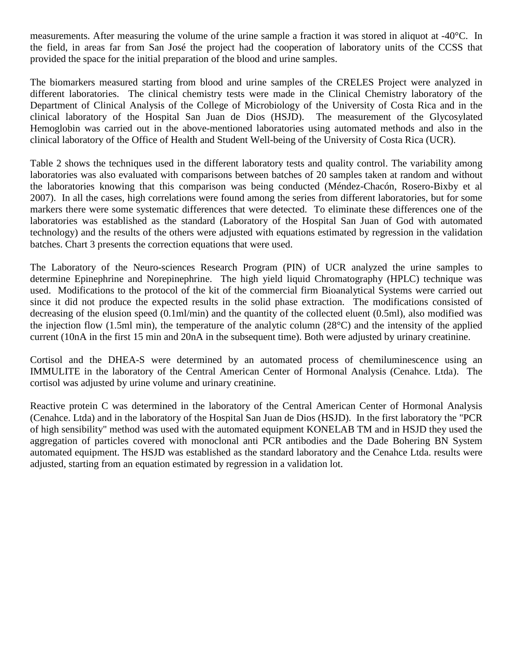measurements. After measuring the volume of the urine sample a fraction it was stored in aliquot at -40°C. In the field, in areas far from San José the project had the cooperation of laboratory units of the CCSS that provided the space for the initial preparation of the blood and urine samples.

The biomarkers measured starting from blood and urine samples of the CRELES Project were analyzed in different laboratories. The clinical chemistry tests were made in the Clinical Chemistry laboratory of the Department of Clinical Analysis of the College of Microbiology of the University of Costa Rica and in the clinical laboratory of the Hospital San Juan de Dios (HSJD). The measurement of the Glycosylated Hemoglobin was carried out in the above-mentioned laboratories using automated methods and also in the clinical laboratory of the Office of Health and Student Well-being of the University of Costa Rica (UCR).

Table 2 shows the techniques used in the different laboratory tests and quality control. The variability among laboratories was also evaluated with comparisons between batches of 20 samples taken at random and without the laboratories knowing that this comparison was being conducted (Méndez-Chacón, Rosero-Bixby et al 2007). In all the cases, high correlations were found among the series from different laboratories, but for some markers there were some systematic differences that were detected. To eliminate these differences one of the laboratories was established as the standard (Laboratory of the Hospital San Juan of God with automated technology) and the results of the others were adjusted with equations estimated by regression in the validation batches. Chart 3 presents the correction equations that were used.

The Laboratory of the Neuro-sciences Research Program (PIN) of UCR analyzed the urine samples to determine Epinephrine and Norepinephrine. The high yield liquid Chromatography (HPLC) technique was used. Modifications to the protocol of the kit of the commercial firm Bioanalytical Systems were carried out since it did not produce the expected results in the solid phase extraction. The modifications consisted of decreasing of the elusion speed (0.1ml/min) and the quantity of the collected eluent (0.5ml), also modified was the injection flow (1.5ml min), the temperature of the analytic column (28°C) and the intensity of the applied current (10nA in the first 15 min and 20nA in the subsequent time). Both were adjusted by urinary creatinine.

Cortisol and the DHEA-S were determined by an automated process of chemiluminescence using an IMMULITE in the laboratory of the Central American Center of Hormonal Analysis (Cenahce. Ltda). The cortisol was adjusted by urine volume and urinary creatinine.

Reactive protein C was determined in the laboratory of the Central American Center of Hormonal Analysis (Cenahce. Ltda) and in the laboratory of the Hospital San Juan de Dios (HSJD). In the first laboratory the "PCR of high sensibility" method was used with the automated equipment KONELAB TM and in HSJD they used the aggregation of particles covered with monoclonal anti PCR antibodies and the Dade Bohering BN System automated equipment. The HSJD was established as the standard laboratory and the Cenahce Ltda. results were adjusted, starting from an equation estimated by regression in a validation lot.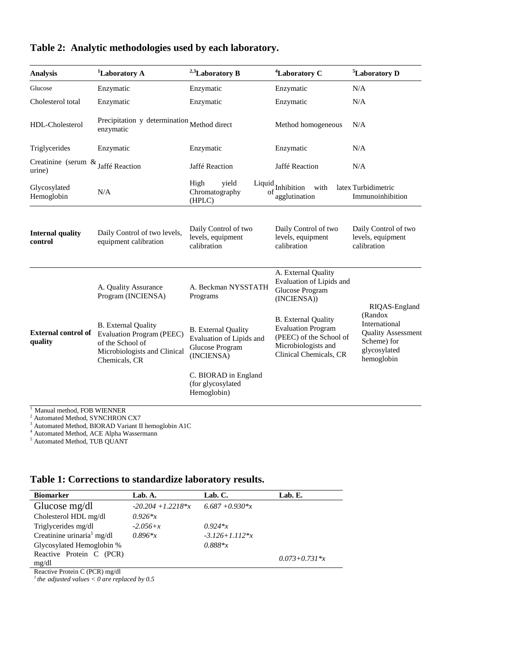| <b>Analysis</b>                                 | <sup>1</sup> Laboratory A                                                                                                    | $2,3$ Laboratory B                                                                      | <sup>4</sup> Laboratory C                                                                                                           | <sup>5</sup> Laboratory D                                                                          |
|-------------------------------------------------|------------------------------------------------------------------------------------------------------------------------------|-----------------------------------------------------------------------------------------|-------------------------------------------------------------------------------------------------------------------------------------|----------------------------------------------------------------------------------------------------|
| Glucose                                         | Enzymatic                                                                                                                    | Enzymatic                                                                               | Enzymatic                                                                                                                           | N/A                                                                                                |
| Cholesterol total                               | Enzymatic                                                                                                                    | Enzymatic                                                                               | Enzymatic                                                                                                                           | N/A                                                                                                |
| HDL-Cholesterol                                 | Precipitation y determination Method direct<br>enzymatic                                                                     |                                                                                         | Method homogeneous                                                                                                                  | N/A                                                                                                |
| Triglycerides                                   | Enzymatic                                                                                                                    | Enzymatic                                                                               | Enzymatic                                                                                                                           | N/A                                                                                                |
| Creatinine (serum $\&$ Jaffé Reaction<br>urine) |                                                                                                                              | Jaffé Reaction                                                                          | Jaffé Reaction                                                                                                                      | N/A                                                                                                |
| Glycosylated<br>Hemoglobin                      | N/A                                                                                                                          | High<br>vield<br>Chromatography<br>of<br>(HPLC)                                         | $\begin{array}{c} \rm{Liquid}\qquad \qquad Inhibition \end{array}$<br>with<br>agglutination                                         | latex Turbidimetric<br>Immunoinhibition                                                            |
| <b>Internal quality</b><br>control              | Daily Control of two levels,<br>equipment calibration                                                                        | Daily Control of two<br>levels, equipment<br>calibration                                | Daily Control of two<br>levels, equipment<br>calibration                                                                            | Daily Control of two<br>levels, equipment<br>calibration                                           |
|                                                 | A. Quality Assurance<br>Program (INCIENSA)                                                                                   | A. Beckman NYSSTATH<br>Programs                                                         | A. External Quality<br>Evaluation of Lipids and<br>Glucose Program<br>(INCIENSA))                                                   | RIQAS-England                                                                                      |
| <b>External control of</b><br>quality           | <b>B.</b> External Quality<br>Evaluation Program (PEEC)<br>of the School of<br>Microbiologists and Clinical<br>Chemicals, CR | <b>B.</b> External Quality<br>Evaluation of Lipids and<br>Glucose Program<br>(INCIENSA) | <b>B.</b> External Quality<br><b>Evaluation Program</b><br>(PEEC) of the School of<br>Microbiologists and<br>Clinical Chemicals, CR | (Randox<br>International<br><b>Quality Assessment</b><br>Scheme) for<br>glycosylated<br>hemoglobin |
|                                                 |                                                                                                                              | C. BIORAD in England<br>(for glycosylated<br>Hemoglobin)                                |                                                                                                                                     |                                                                                                    |

<sup>1</sup> Manual method, FOB WIENNER

<sup>2</sup> Automated Method, SYNCHRON CX7

<sup>3</sup> Automated Method, BIORAD Variant II hemoglobin A1C

<sup>4</sup> Automated Method, ACE Alpha Wassermann

<sup>5</sup> Automated Method, TUB QUANT

**Table 1: Corrections to standardize laboratory results.**

| <b>Biomarker</b>                       | Lab. A.              | Lab. C.            | Lab. E.             |
|----------------------------------------|----------------------|--------------------|---------------------|
| Glucose $mg/dl$                        | $-20.204 + 1.2218*x$ | $6.687 + 0.930*x$  |                     |
| Cholesterol HDL mg/dl                  | $0.926*x$            |                    |                     |
| Triglycerides mg/dl                    | $-2.056+x$           | $0.924*x$          |                     |
| Creatinine urinaria <sup>1</sup> mg/dl | $0.896*x$            | $-3.126 + 1.112*x$ |                     |
| Glycosylated Hemoglobin %              |                      | $0.888*$ x         |                     |
| Reactive Protein C (PCR)<br>mg/dl      |                      |                    | $0.073 + 0.731 * x$ |

Reactive Protein C (PCR) mg/dl *1 the adjusted values < 0 are replaced by 0.5*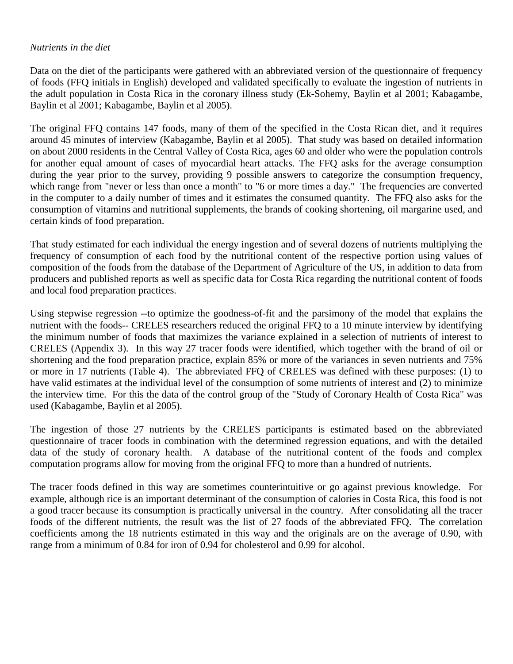#### <span id="page-9-0"></span>*Nutrients in the diet*

Data on the diet of the participants were gathered with an abbreviated version of the questionnaire of frequency of foods (FFQ initials in English) developed and validated specifically to evaluate the ingestion of nutrients in the adult population in Costa Rica in the coronary illness study (Ek-Sohemy, Baylin et al 2001; Kabagambe, Baylin et al 2001; Kabagambe, Baylin et al 2005).

The original FFQ contains 147 foods, many of them of the specified in the Costa Rican diet, and it requires around 45 minutes of interview (Kabagambe, Baylin et al 2005). That study was based on detailed information on about 2000 residents in the Central Valley of Costa Rica, ages 60 and older who were the population controls for another equal amount of cases of myocardial heart attacks. The FFQ asks for the average consumption during the year prior to the survey, providing 9 possible answers to categorize the consumption frequency, which range from "never or less than once a month" to "6 or more times a day." The frequencies are converted in the computer to a daily number of times and it estimates the consumed quantity. The FFQ also asks for the consumption of vitamins and nutritional supplements, the brands of cooking shortening, oil margarine used, and certain kinds of food preparation.

That study estimated for each individual the energy ingestion and of several dozens of nutrients multiplying the frequency of consumption of each food by the nutritional content of the respective portion using values of composition of the foods from the database of the Department of Agriculture of the US, in addition to data from producers and published reports as well as specific data for Costa Rica regarding the nutritional content of foods and local food preparation practices.

Using stepwise regression --to optimize the goodness-of-fit and the parsimony of the model that explains the nutrient with the foods-- CRELES researchers reduced the original FFQ to a 10 minute interview by identifying the minimum number of foods that maximizes the variance explained in a selection of nutrients of interest to CRELES (Appendix 3). In this way 27 tracer foods were identified, which together with the brand of oil or shortening and the food preparation practice, explain 85% or more of the variances in seven nutrients and 75% or more in 17 nutrients (Table 4). The abbreviated FFQ of CRELES was defined with these purposes: (1) to have valid estimates at the individual level of the consumption of some nutrients of interest and (2) to minimize the interview time. For this the data of the control group of the "Study of Coronary Health of Costa Rica" was used (Kabagambe, Baylin et al 2005).

The ingestion of those 27 nutrients by the CRELES participants is estimated based on the abbreviated questionnaire of tracer foods in combination with the determined regression equations, and with the detailed data of the study of coronary health. A database of the nutritional content of the foods and complex computation programs allow for moving from the original FFQ to more than a hundred of nutrients.

The tracer foods defined in this way are sometimes counterintuitive or go against previous knowledge. For example, although rice is an important determinant of the consumption of calories in Costa Rica, this food is not a good tracer because its consumption is practically universal in the country. After consolidating all the tracer foods of the different nutrients, the result was the list of 27 foods of the abbreviated FFQ. The correlation coefficients among the 18 nutrients estimated in this way and the originals are on the average of 0.90, with range from a minimum of 0.84 for iron of 0.94 for cholesterol and 0.99 for alcohol.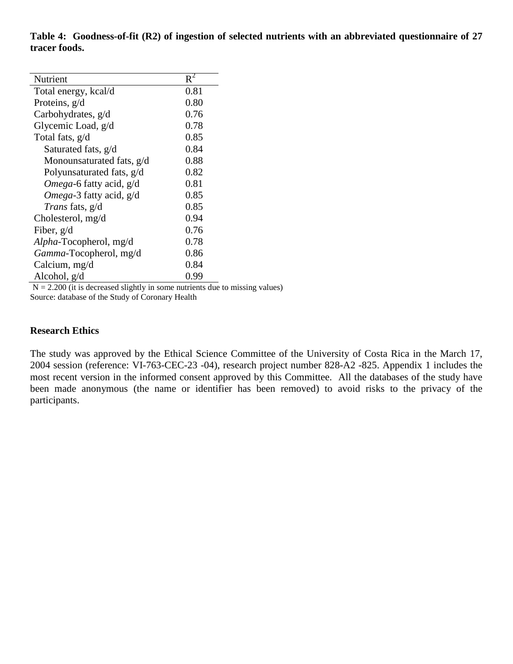**Table 4: Goodness-of-fit (R2) of ingestion of selected nutrients with an abbreviated questionnaire of 27 tracer foods.**

| Nutrient                                            | $R^2$ |  |  |
|-----------------------------------------------------|-------|--|--|
| Total energy, kcal/d                                | 0.81  |  |  |
| Proteins, g/d                                       | 0.80  |  |  |
| Carbohydrates, g/d                                  | 0.76  |  |  |
| Glycemic Load, g/d                                  | 0.78  |  |  |
| Total fats, g/d                                     | 0.85  |  |  |
| Saturated fats, g/d                                 | 0.84  |  |  |
| Monounsaturated fats, g/d                           | 0.88  |  |  |
| Polyunsaturated fats, g/d                           | 0.82  |  |  |
| Omega-6 fatty acid, g/d                             | 0.81  |  |  |
| Omega-3 fatty acid, g/d                             | 0.85  |  |  |
| <i>Trans</i> fats, g/d                              | 0.85  |  |  |
| Cholesterol, mg/d                                   | 0.94  |  |  |
| Fiber, $g/d$                                        | 0.76  |  |  |
| Alpha-Tocopherol, mg/d                              | 0.78  |  |  |
| Gamma-Tocopherol, mg/d                              | 0.86  |  |  |
| Calcium, mg/d                                       | 0.84  |  |  |
| Alcohol, g/d                                        | 0.99  |  |  |
| $1 - 11 - 1 - 1 = 1$<br>$2.200 \div 2$<br><b>RT</b> |       |  |  |

 $N = 2.200$  (it is decreased slightly in some nutrients due to missing values) Source: database of the Study of Coronary Health

#### <span id="page-10-0"></span>**Research Ethics**

The study was approved by the Ethical Science Committee of the University of Costa Rica in the March 17, 2004 session (reference: VI-763-CEC-23 -04), research project number 828-A2 -825. Appendix 1 includes the most recent version in the informed consent approved by this Committee. All the databases of the study have been made anonymous (the name or identifier has been removed) to avoid risks to the privacy of the participants.